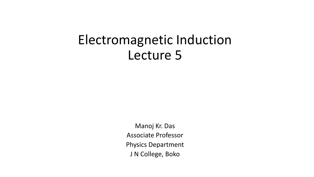# Electromagnetic Induction Lecture 5

Manoj Kr. Das Associate Professor Physics Department J N College, Boko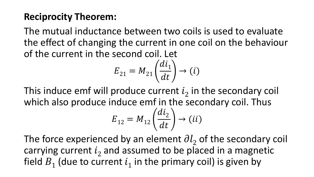#### **Reciprocity Theorem:**

The mutual inductance between two coils is used to evaluate the effect of changing the current in one coil on the behaviour of the current in the second coil. Let

$$
E_{21} = M_{21} \left(\frac{di_1}{dt}\right) \to (i)
$$

This induce emf will produce current  $i_2$  in the secondary coil which also produce induce emf in the secondary coil. Thus

$$
E_{12} = M_{12} \left(\frac{di_2}{dt}\right) \rightarrow (ii)
$$

The force experienced by an element  $\partial l_2$  of the secondary coil carrying current  $i_2$  and assumed to be placed in a magnetic field  $B_1$  (due to current  $i_1$  in the primary coil) is given by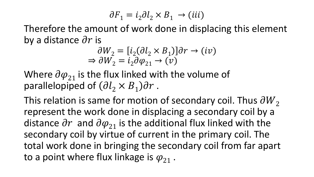$$
\partial F_1 = i_2 \partial l_2 \times B_1 \to (iii)
$$

Therefore the amount of work done in displacing this element by a distance  $\partial r$  is

$$
\partial W_2 = [i_2(\partial l_2 \times B_1)] \partial r \to (iv)
$$
  
\n
$$
\Rightarrow \partial W_2 = i_2 \partial \varphi_{21} \to (v)
$$

Where  $\partial \varphi_{21}$  is the flux linked with the volume of parallelopiped of  $\left(\partial l_2 \times B_1\right)\partial r$ .

This relation is same for motion of secondary coil. Thus  $\partial W_2$ represent the work done in displacing a secondary coil by a distance  $\partial r$  and  $\partial \varphi_{21}$  is the additional flux linked with the secondary coil by virtue of current in the primary coil. The total work done in bringing the secondary coil from far apart to a point where flux linkage is  $\varphi_{21}$ .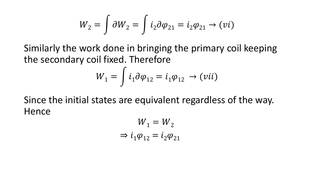$$
W_2 = \int \partial W_2 = \int i_2 \partial \varphi_{21} = i_2 \varphi_{21} \rightarrow (vi)
$$

Similarly the work done in bringing the primary coil keeping the secondary coil fixed. Therefore

$$
W_1 = \int i_1 \partial \varphi_{12} = i_1 \varphi_{12} \rightarrow (vii)
$$

Since the initial states are equivalent regardless of the way. **Hence** 

$$
W_1 = W_2
$$
  
\n
$$
\Rightarrow i_1 \varphi_{12} = i_2 \varphi_{21}
$$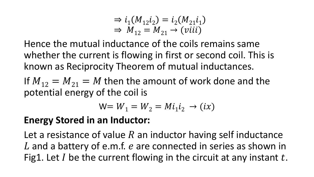$$
\Rightarrow i_1(M_{12}i_2) = i_2(M_{21}i_1)
$$
  
\n
$$
\Rightarrow M_{12} = M_{21} \rightarrow (viii)
$$

Hence the mutual inductance of the coils remains same whether the current is flowing in first or second coil. This is known as Reciprocity Theorem of mutual inductances.

If  $M_{12} = M_{21} = M$  then the amount of work done and the potential energy of the coil is

$$
W = W_1 = W_2 = Mi_1 i_2 \rightarrow (ix)
$$

#### **Energy Stored in an Inductor:**

Let a resistance of value R an inductor having self inductance  $L$  and a battery of e.m.f.  $e$  are connected in series as shown in Fig1. Let I be the current flowing in the circuit at any instant  $t$ .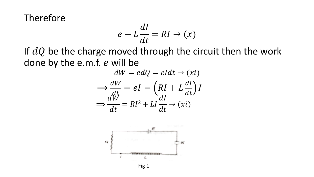Therefore

$$
e - L\frac{dI}{dt} = RI \to (x)
$$

If  $dQ$  be the charge moved through the circuit then the work done by the e.m.f. e will be

$$
dW = edQ = eldt \rightarrow (xi)
$$

$$
\Rightarrow \frac{dW}{dt} = el = \left(RI + L\frac{dI}{dt}\right)I
$$

$$
\Rightarrow \frac{dW}{dt} = RI^2 + LI\frac{dI}{dt} \rightarrow (xi)
$$



Fig 1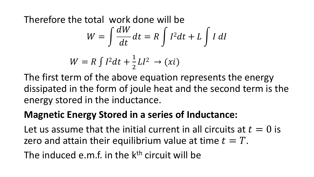Therefore the total work done will be

$$
W = \int \frac{dW}{dt} dt = R \int I^2 dt + L \int I dl
$$

$$
W = R \int I^2 dt + \frac{1}{2}LI^2 \rightarrow (xi)
$$

The first term of the above equation represents the energy dissipated in the form of joule heat and the second term is the energy stored in the inductance.

## **Magnetic Energy Stored in a series of Inductance:**

Let us assume that the initial current in all circuits at  $t = 0$  is zero and attain their equilibrium value at time  $t = T$ .

The induced e.m.f. in the  $k<sup>th</sup>$  circuit will be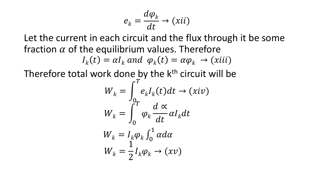$$
e_k = \frac{d\varphi_k}{dt} \to (xii)
$$

Let the current in each circuit and the flux through it be some fraction  $\alpha$  of the equilibrium values. Therefore

$$
I_k(t) = \alpha I_k \text{ and } \varphi_k(t) = \alpha \varphi_k \to (xiii)
$$

Therefore total work done by the k<sup>th</sup> circuit will be

$$
W_k = \int_{0_T}^{T} e_k I_k(t) dt \rightarrow (xiv)
$$
  

$$
W_k = \int_{0}^{T} \varphi_k \frac{d \propto}{dt} \alpha I_k dt
$$
  

$$
W_k = I_k \varphi_k \int_{0}^{1} \alpha d\alpha
$$
  

$$
W_k = \frac{1}{2} I_k \varphi_k \rightarrow (xv)
$$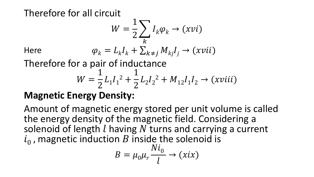Therefore for all circuit

$$
W = \frac{1}{2} \sum_{k} I_{k} \varphi_{k} \to (xvi)
$$
  
Here 
$$
\varphi_{k} = L_{k} I_{k} + \sum_{k \neq j} M_{kj} I_{j} \to (xvii)
$$

Therefore for a pair of inductance

$$
W = \frac{1}{2}L_1I_1^2 + \frac{1}{2}L_2I_2^2 + M_{12}I_1I_2 \rightarrow (xviii)
$$

# **Magnetic Energy Density:**

Amount of magnetic energy stored per unit volume is called the energy density of the magnetic field. Considering a solenoid of length  $l$  having  $N$  turns and carrying a current  $i_0$ , magnetic induction  $B$  inside the solenoid is

$$
B = \mu_0 \mu_r \frac{Ni_0}{l} \rightarrow (xix)
$$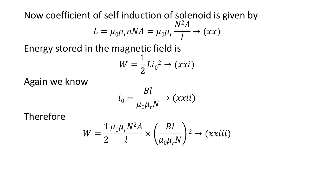Now coefficient of self induction of solenoid is given by  $L = \mu_0 \mu_r nNA = \mu_0 \mu_r$  $N^2A$  $\boldsymbol{l}$  $\rightarrow (xx)$ 

Energy stored in the magnetic field is

$$
W = \frac{1}{2}Li_0^2 \rightarrow (xxi)
$$

Again we know

$$
i_0 = \frac{Bl}{\mu_0 \mu_r N} \to (xxii)
$$

Therefore

$$
W = \frac{1}{2} \frac{\mu_0 \mu_r N^2 A}{l} \times \left(\frac{B l}{\mu_0 \mu_r N}\right)^2 \to (xxiii)
$$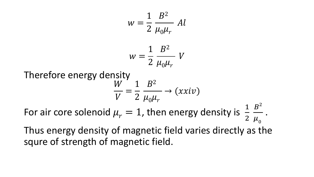$$
w = \frac{1}{2} \frac{B^2}{\mu_0 \mu_r} Al
$$
  
\n
$$
w = \frac{1}{2} \frac{B^2}{\mu_0 \mu_r} V
$$
  
\nTherefore energy density  
\n
$$
\frac{W}{V} = \frac{1}{2} \frac{B^2}{\mu_0 \mu_r} \rightarrow (xxiv)
$$
  
\nFor air core solenoid  $\mu_r = 1$ , then energy density is  $\frac{1}{2} \frac{B^2}{\mu_0}$ .

Thus energy density of magnetic field varies directly as the squre of strength of magnetic field.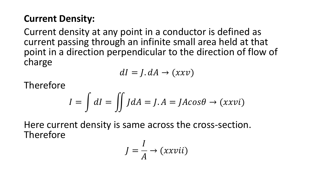#### **Current Density:**

Current density at any point in a conductor is defined as current passing through an infinite small area held at that point in a direction perpendicular to the direction of flow of charge

$$
dI = J. dA \rightarrow (xxv)
$$

Therefore

$$
I = \int dI = \iint J dA = J.A = JACos\theta \rightarrow (xxvi)
$$

Here current density is same across the cross-section. Therefore

$$
J = \frac{I}{A} \rightarrow (xxvii)
$$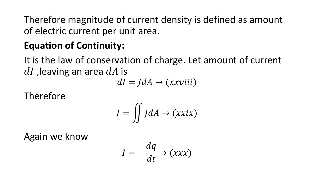Therefore magnitude of current density is defined as amount of electric current per unit area.

# **Equation of Continuity:**

It is the law of conservation of charge. Let amount of current  $dI$ , leaving an area  $dA$  is

 $dI = JdA \rightarrow (xxviii)$ 

Therefore

$$
I = \iint J dA \to (xxix)
$$

Again we know

$$
I = -\frac{dq}{dt} \rightarrow (xxx)
$$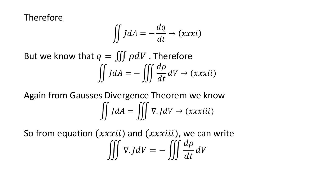Therefore

$$
\iint J dA = -\frac{dq}{dt} \rightarrow (xxxi)
$$

But we know that  $q = \iiint \rho dV$ . Therefore  $\iint dA = -\iiint \frac{d\rho}{dt}$  $\frac{dV}{dt}dV \rightarrow (xxxii)$ 

Again from Gausses Divergence Theorem we know  $\iiint J dA = \iiint \nabla J dV \rightarrow (xxxiii)$ 

So from equation  $(xxxii)$  and  $(xxxiii)$ , we can write  $\iiint \nabla J dV = -\iiint \frac{d\rho}{dt}$  $\frac{dV}{dt}dV$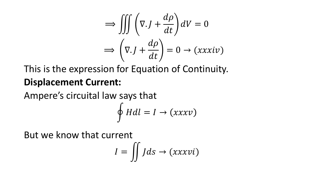$$
\implies \iiint \left(\nabla \cdot J + \frac{d\rho}{dt}\right) dV = 0
$$

$$
\implies \left(\nabla \cdot J + \frac{d\rho}{dt}\right) = 0 \to (xxxiv)
$$

This is the expression for Equation of Continuity. **Displacement Current:**

Ampere's circuital law says that

$$
\oint H dl = I \rightarrow (xxxv)
$$

But we know that current

$$
I = \iint J ds \to (xxxvi)
$$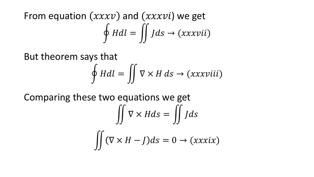From equation  $(xxxv)$  and  $(xxxvi)$  we get  $\oint H dl = \iint J ds \rightarrow (xxxvii)$ 

But theorem says that

$$
\oint H dl = \iint \nabla \times H ds \to (xxxviii)
$$

Comparing these two equations we get

$$
\iint \nabla \times H ds = \iint J ds
$$

$$
\iint (\nabla \times H - J) ds = 0 \to (xxxix)
$$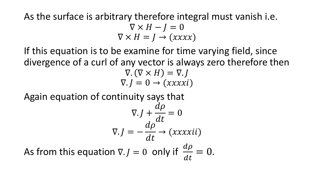#### As the surface is arbitrary therefore integral must vanish i.e.  $\nabla \times H - I = 0$  $\nabla \times H = J \rightarrow (xxxx)$

If this equation is to be examine for time varying field, since divergence of a curl of any vector is always zero therefore then  $\nabla \cdot (\nabla \times H) = \nabla \cdot I$  $\nabla$ .  $J = 0 \rightarrow (xxxxi)$ 

Again equation of continuity says that

$$
\nabla \cdot J + \frac{d\rho}{dt} = 0
$$
  

$$
\nabla \cdot J = -\frac{d\rho}{dt} \rightarrow (xxxxxi i)
$$

As from this equation  $\nabla J = 0$  only if  $\frac{d\rho}{dt}$  $dt$  $= 0.$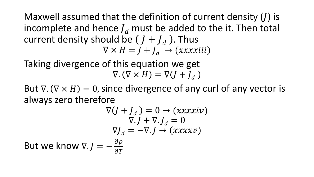Maxwell assumed that the definition of current density  $(I)$  is incomplete and hence  $J_d$  must be added to the it. Then total current density should be  $(J + J_d)$ . Thus  $\nabla \times H = I + I_d \rightarrow (xxxxiii)$ 

Taking divergence of this equation we get  $\nabla \cdot (\nabla \times H) = \nabla (I + I_d)$ 

But  $\nabla$ .  $(\nabla \times H) = 0$ , since divergence of any curl of any vector is always zero therefore

$$
\nabla (J + J_d) = 0 \rightarrow (xxxxiv)
$$
  
\n
$$
\nabla J + \nabla J_d = 0
$$
  
\n
$$
\nabla J_d = -\nabla J \rightarrow (xxxxv)
$$
  
\nBut we know  $\nabla J = -\frac{\partial \rho}{\partial T}$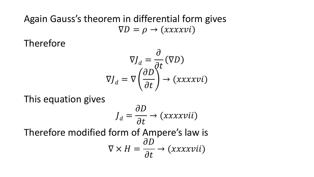#### Again Gauss's theorem in differential form gives  $\nabla D = \rho \rightarrow (xxxxvi)$

Therefore

$$
\nabla J_d = \frac{\partial}{\partial t} (\nabla D)
$$

$$
\nabla J_d = \nabla \left( \frac{\partial D}{\partial t} \right)^2 \rightarrow (xxxxvi)
$$

This equation gives

$$
J_d = \frac{\partial D}{\partial t} \rightarrow (xxxxvii)
$$

Therefore modified form of Ampere's law is  $\nabla \times H =$  $\partial D$  $\partial t$  $\rightarrow (xxxxvii)$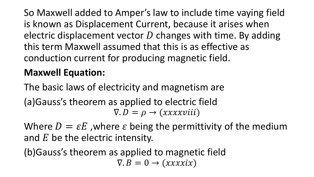So Maxwell added to Amper's law to include time vaying field is known as Displacement Current, because it arises when electric displacement vector  $D$  changes with time. By adding this term Maxwell assumed that this is as effective as conduction current for producing magnetic field.

## **Maxwell Equation:**

The basic laws of electricity and magnetism are (a)Gauss's theorem as applied to electric field  $\nabla$ .  $D = \rho \rightarrow (xxxxviii)$ 

Where  $D = \varepsilon E$ , where  $\varepsilon$  being the permittivity of the medium and  $E$  be the electric intensity.

(b)Gauss's theorem as applied to magnetic field  $\nabla$ .  $B = 0 \rightarrow (xxxxix)$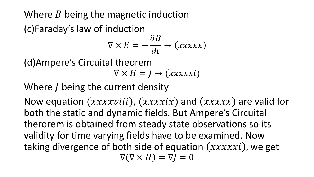Where  $B$  being the magnetic induction

(c)Faraday's law of induction

$$
\nabla \times E = -\frac{\partial B}{\partial t} \rightarrow (xxxxx)
$$

(d)Ampere's Circuital theorem

 $\nabla \times H = I \rightarrow (xxxxxi)$ 

Where  *being the current density* 

Now equation  $(xxxxviii)$ ,  $(xxxxix)$  and  $(xxxxx)$  are valid for both the static and dynamic fields. But Ampere's Circuital therorem is obtained from steady state observations so its validity for time varying fields have to be examined. Now taking divergence of both side of equation  $(xxxxxi)$ , we get  $\nabla(\nabla \times H) = \nabla I = 0$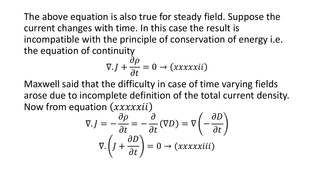The above equation is also true for steady field. Suppose the current changes with time. In this case the result is incompatible with the principle of conservation of energy i.e. the equation of continuity

$$
\nabla. J + \frac{\partial \rho}{\partial t} = 0 \rightarrow (xxxxxii)
$$

Maxwell said that the difficulty in case of time varying fields arose due to incomplete definition of the total current density. Now from equation  $(xxxxiii)$ 

$$
\nabla \cdot J = -\frac{\partial \rho}{\partial t} = -\frac{\partial}{\partial t} (\nabla D) = \nabla \left( -\frac{\partial D}{\partial t} \right)
$$

$$
\nabla \cdot \left( J + \frac{\partial D}{\partial t} \right) = 0 \rightarrow (xxxxx x i ii)
$$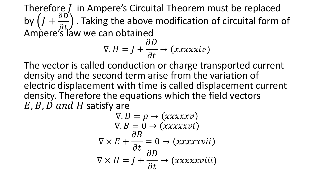Therefore  *in Ampere's Circuital Theorem must be replaced* by  $(J +$  $\partial D$  $\left(\frac{\partial D}{\partial t_1}\right)$  . Taking the above modification of circuital form of Ampere's law we can obtained  $\nabla. H = J +$  $\partial D$  $\partial t$  $\rightarrow (xxxxxiv)$ 

The vector is called conduction or charge transported current density and the second term arise from the variation of electric displacement with time is called displacement current density. Therefore the equations which the field vectors  $E$ ,  $B$ ,  $D$  and  $H$  satisfy are

$$
\nabla \cdot D = \rho \rightarrow (xxxxxv)
$$
  
\n
$$
\nabla \cdot B = 0 \rightarrow (xxxxxvi)
$$
  
\n
$$
\nabla \times E + \frac{\partial B}{\partial t} = 0 \rightarrow (xxxxxvii)
$$
  
\n
$$
\nabla \times H = J + \frac{\partial D}{\partial t} \rightarrow (xxxxxviii)
$$